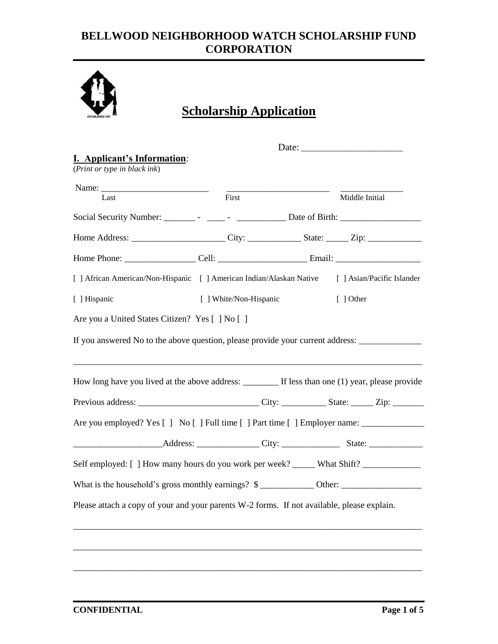

# **Scholarship Application**

|                                                                                                      |                        |       | Date: $\frac{1}{\sqrt{1-\frac{1}{2}} \cdot \frac{1}{2}}$ |
|------------------------------------------------------------------------------------------------------|------------------------|-------|----------------------------------------------------------|
| I. Applicant's Information:<br>(Print or type in black ink)                                          |                        |       |                                                          |
|                                                                                                      |                        | First |                                                          |
| Last                                                                                                 |                        |       | Middle Initial                                           |
|                                                                                                      |                        |       |                                                          |
|                                                                                                      |                        |       |                                                          |
|                                                                                                      |                        |       |                                                          |
| [ ] African American/Non-Hispanic [ ] American Indian/Alaskan Native [ ] Asian/Pacific Islander      |                        |       |                                                          |
| [ ] Hispanic                                                                                         | [ ] White/Non-Hispanic |       | $[$ ] Other                                              |
| Are you a United States Citizen? Yes [ ] No [ ]                                                      |                        |       |                                                          |
| If you answered No to the above question, please provide your current address: _____________________ |                        |       |                                                          |
|                                                                                                      |                        |       |                                                          |
|                                                                                                      |                        |       |                                                          |
| Are you employed? Yes [ ] No [ ] Full time [ ] Part time [ ] Employer name: _______________________  |                        |       |                                                          |
|                                                                                                      |                        |       |                                                          |
| Self employed: [] How many hours do you work per week? ______ What Shift? _____________              |                        |       |                                                          |
| What is the household's gross monthly earnings? \$                                                   |                        |       |                                                          |
| Please attach a copy of your and your parents W-2 forms. If not available, please explain.           |                        |       |                                                          |
|                                                                                                      |                        |       |                                                          |
|                                                                                                      |                        |       |                                                          |
|                                                                                                      |                        |       |                                                          |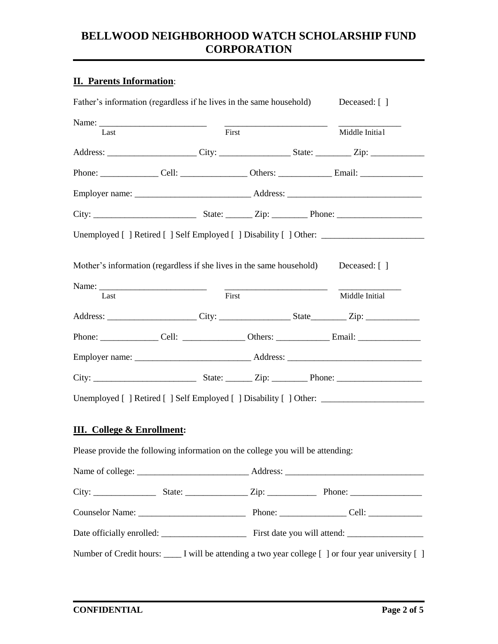#### **II. Parents Information**:

| Last                                                                                                                                                                                                    | First |  | Middle Initial                  |
|---------------------------------------------------------------------------------------------------------------------------------------------------------------------------------------------------------|-------|--|---------------------------------|
| Address: ________________________City: _____________________State: ___________Zip: _________________                                                                                                    |       |  |                                 |
| Phone: __________________Cell: ____________________Others: _____________________Email: ___________________                                                                                              |       |  |                                 |
|                                                                                                                                                                                                         |       |  |                                 |
|                                                                                                                                                                                                         |       |  |                                 |
| Unemployed [ ] Retired [ ] Self Employed [ ] Disability [ ] Other: ______________                                                                                                                       |       |  |                                 |
| Mother's information (regardless if she lives in the same household)<br>Last                                                                                                                            | First |  | Deceased: [ ]<br>Middle Initial |
|                                                                                                                                                                                                         |       |  |                                 |
| Address: ________________________City: _____________________State___________Zip: ___________________                                                                                                    |       |  |                                 |
| Phone: _________________Cell: _____________________Others: _____________________Email: __________________                                                                                               |       |  |                                 |
|                                                                                                                                                                                                         |       |  |                                 |
|                                                                                                                                                                                                         |       |  |                                 |
|                                                                                                                                                                                                         |       |  |                                 |
|                                                                                                                                                                                                         |       |  |                                 |
|                                                                                                                                                                                                         |       |  |                                 |
|                                                                                                                                                                                                         |       |  |                                 |
| Unemployed [] Retired [] Self Employed [] Disability [] Other: _________________<br><b>III.</b> College & Enrollment:<br>Please provide the following information on the college you will be attending: |       |  |                                 |
|                                                                                                                                                                                                         |       |  |                                 |
|                                                                                                                                                                                                         |       |  |                                 |
|                                                                                                                                                                                                         |       |  |                                 |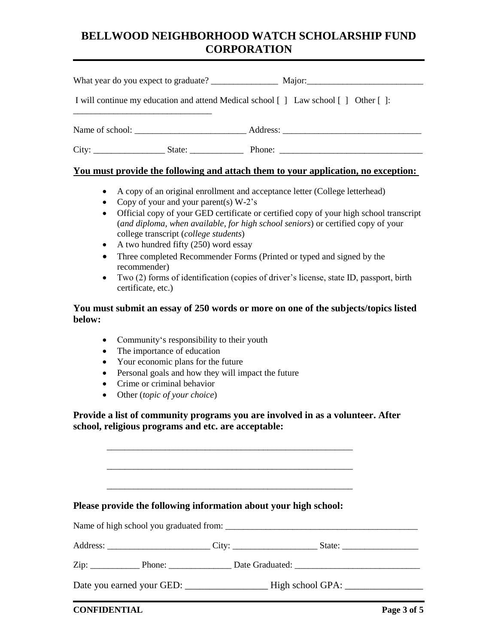|  | I will continue my education and attend Medical school [ ] Law school [ ] Other [ ]: |
|--|--------------------------------------------------------------------------------------|
|  |                                                                                      |
|  | City: State: State: Phone: Phone:                                                    |

#### **You must provide the following and attach them to your application, no exception:**

- A copy of an original enrollment and acceptance letter (College letterhead)
- Copy of your and your parent(s)  $W-2$ 's
- Official copy of your GED certificate or certified copy of your high school transcript (*and diploma, when available, for high school seniors*) or certified copy of your college transcript (*college students*)
- $\bullet$  A two hundred fifty (250) word essay
- Three completed Recommender Forms (Printed or typed and signed by the recommender)
- Two (2) forms of identification (copies of driver's license, state ID, passport, birth certificate, etc.)

#### **You must submit an essay of 250 words or more on one of the subjects/topics listed below:**

- Community's responsibility to their youth
- The importance of education
- Your economic plans for the future
- Personal goals and how they will impact the future
- Crime or criminal behavior
- Other (*topic of your choice*)

**Provide a list of community programs you are involved in as a volunteer. After school, religious programs and etc. are acceptable:**

**Please provide the following information about your high school:**

\_\_\_\_\_\_\_\_\_\_\_\_\_\_\_\_\_\_\_\_\_\_\_\_\_\_\_\_\_\_\_\_\_\_\_\_\_\_\_\_\_\_\_\_\_\_\_\_\_\_\_\_\_\_\_

\_\_\_\_\_\_\_\_\_\_\_\_\_\_\_\_\_\_\_\_\_\_\_\_\_\_\_\_\_\_\_\_\_\_\_\_\_\_\_\_\_\_\_\_\_\_\_\_\_\_\_\_\_\_\_

\_\_\_\_\_\_\_\_\_\_\_\_\_\_\_\_\_\_\_\_\_\_\_\_\_\_\_\_\_\_\_\_\_\_\_\_\_\_\_\_\_\_\_\_\_\_\_\_\_\_\_\_\_\_\_

|                                                                                                                                                                                                                                  | Name of high school you graduated from: |  |
|----------------------------------------------------------------------------------------------------------------------------------------------------------------------------------------------------------------------------------|-----------------------------------------|--|
|                                                                                                                                                                                                                                  |                                         |  |
| $\chi$ ip: Phone: Phone: Phone: Phone: Phone: Phone: Phone: Phone: Phone: Phone: Phone: Phone: Phone: Phone: Phone: Phone: Phone: Phone: Phone: Phone: Phone: Phone: Phone: Phone: Phone: Phone: Phone: Phone: Phone: Phone: Pho |                                         |  |
|                                                                                                                                                                                                                                  |                                         |  |

**CONFIDENTIAL Page 3** of 5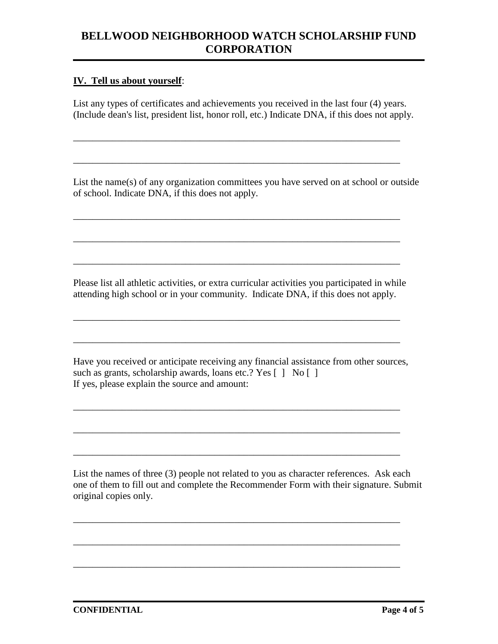#### **IV. Tell us about yourself**:

List any types of certificates and achievements you received in the last four (4) years. (Include dean's list, president list, honor roll, etc.) Indicate DNA, if this does not apply.

\_\_\_\_\_\_\_\_\_\_\_\_\_\_\_\_\_\_\_\_\_\_\_\_\_\_\_\_\_\_\_\_\_\_\_\_\_\_\_\_\_\_\_\_\_\_\_\_\_\_\_\_\_\_\_\_\_\_\_\_\_\_\_\_\_\_\_

\_\_\_\_\_\_\_\_\_\_\_\_\_\_\_\_\_\_\_\_\_\_\_\_\_\_\_\_\_\_\_\_\_\_\_\_\_\_\_\_\_\_\_\_\_\_\_\_\_\_\_\_\_\_\_\_\_\_\_\_\_\_\_\_\_\_\_

\_\_\_\_\_\_\_\_\_\_\_\_\_\_\_\_\_\_\_\_\_\_\_\_\_\_\_\_\_\_\_\_\_\_\_\_\_\_\_\_\_\_\_\_\_\_\_\_\_\_\_\_\_\_\_\_\_\_\_\_\_\_\_\_\_\_\_

\_\_\_\_\_\_\_\_\_\_\_\_\_\_\_\_\_\_\_\_\_\_\_\_\_\_\_\_\_\_\_\_\_\_\_\_\_\_\_\_\_\_\_\_\_\_\_\_\_\_\_\_\_\_\_\_\_\_\_\_\_\_\_\_\_\_\_

\_\_\_\_\_\_\_\_\_\_\_\_\_\_\_\_\_\_\_\_\_\_\_\_\_\_\_\_\_\_\_\_\_\_\_\_\_\_\_\_\_\_\_\_\_\_\_\_\_\_\_\_\_\_\_\_\_\_\_\_\_\_\_\_\_\_\_

List the name(s) of any organization committees you have served on at school or outside of school. Indicate DNA, if this does not apply.

Please list all athletic activities, or extra curricular activities you participated in while attending high school or in your community. Indicate DNA, if this does not apply.

\_\_\_\_\_\_\_\_\_\_\_\_\_\_\_\_\_\_\_\_\_\_\_\_\_\_\_\_\_\_\_\_\_\_\_\_\_\_\_\_\_\_\_\_\_\_\_\_\_\_\_\_\_\_\_\_\_\_\_\_\_\_\_\_\_\_\_

\_\_\_\_\_\_\_\_\_\_\_\_\_\_\_\_\_\_\_\_\_\_\_\_\_\_\_\_\_\_\_\_\_\_\_\_\_\_\_\_\_\_\_\_\_\_\_\_\_\_\_\_\_\_\_\_\_\_\_\_\_\_\_\_\_\_\_

Have you received or anticipate receiving any financial assistance from other sources, such as grants, scholarship awards, loans etc.? Yes  $\lceil \cdot \rceil$  No  $\lceil \cdot \rceil$ If yes, please explain the source and amount:

\_\_\_\_\_\_\_\_\_\_\_\_\_\_\_\_\_\_\_\_\_\_\_\_\_\_\_\_\_\_\_\_\_\_\_\_\_\_\_\_\_\_\_\_\_\_\_\_\_\_\_\_\_\_\_\_\_\_\_\_\_\_\_\_\_\_\_

\_\_\_\_\_\_\_\_\_\_\_\_\_\_\_\_\_\_\_\_\_\_\_\_\_\_\_\_\_\_\_\_\_\_\_\_\_\_\_\_\_\_\_\_\_\_\_\_\_\_\_\_\_\_\_\_\_\_\_\_\_\_\_\_\_\_\_

\_\_\_\_\_\_\_\_\_\_\_\_\_\_\_\_\_\_\_\_\_\_\_\_\_\_\_\_\_\_\_\_\_\_\_\_\_\_\_\_\_\_\_\_\_\_\_\_\_\_\_\_\_\_\_\_\_\_\_\_\_\_\_\_\_\_\_

\_\_\_\_\_\_\_\_\_\_\_\_\_\_\_\_\_\_\_\_\_\_\_\_\_\_\_\_\_\_\_\_\_\_\_\_\_\_\_\_\_\_\_\_\_\_\_\_\_\_\_\_\_\_\_\_\_\_\_\_\_\_\_\_\_\_\_

\_\_\_\_\_\_\_\_\_\_\_\_\_\_\_\_\_\_\_\_\_\_\_\_\_\_\_\_\_\_\_\_\_\_\_\_\_\_\_\_\_\_\_\_\_\_\_\_\_\_\_\_\_\_\_\_\_\_\_\_\_\_\_\_\_\_\_

List the names of three (3) people not related to you as character references. Ask each one of them to fill out and complete the Recommender Form with their signature. Submit original copies only.